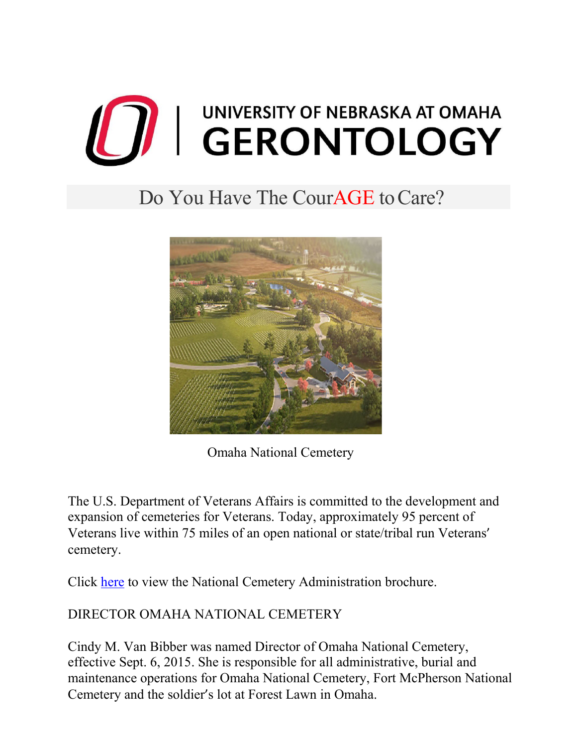

# Do You Have The CourAGE to Care?



Omaha National Cemetery

The U.S. Department of Veterans Affairs is committed to the development and expansion of cemeteries for Veterans. Today, approximately 95 percent of Veterans live within 75 miles of an open national or state/tribal run Veterans' cemetery.

Click [here](https://www.unomaha.edu/college-of-public-affairs-and-community-service/gerontology/_files/docs/cemetery-nca_brochure.pdf) to view the National Cemetery Administration brochure.

## DIRECTOR OMAHA NATIONAL CEMETERY

Cindy M. Van Bibber was named Director of Omaha National Cemetery, effective Sept. 6, 2015. She is responsible for all administrative, burial and maintenance operations for Omaha National Cemetery, Fort McPherson National Cemetery and the soldier's lot at Forest Lawn in Omaha.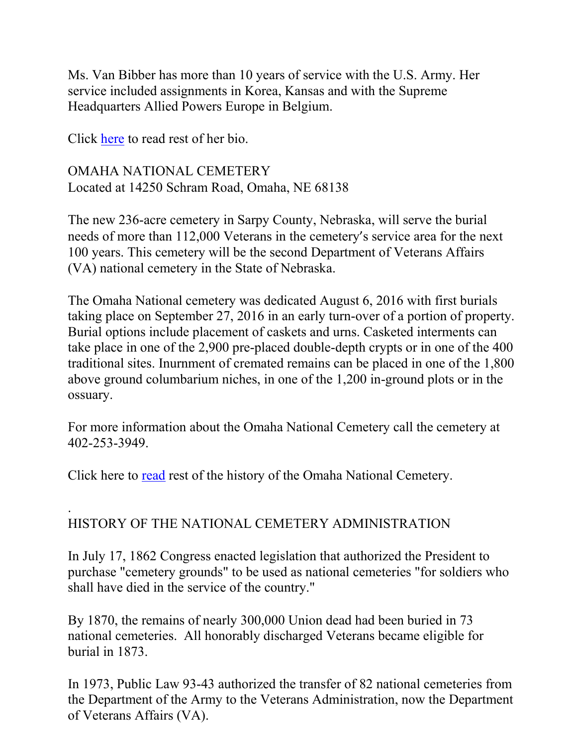Ms. Van Bibber has more than 10 years of service with the U.S. Army. Her service included assignments in Korea, Kansas and with the Supreme Headquarters Allied Powers Europe in Belgium.

Click [here](https://www.unomaha.edu/college-of-public-affairs-and-community-service/gerontology/_files/docs/cemetery-cindy-van-bibber.pdf) to read rest of her bio.

OMAHA NATIONAL CEMETERY Located at 14250 Schram Road, Omaha, NE 68138

The new 236-acre cemetery in Sarpy County, Nebraska, will serve the burial needs of more than 112,000 Veterans in the cemetery's service area for the next 100 years. This cemetery will be the second Department of Veterans Affairs (VA) national cemetery in the State of Nebraska.

The Omaha National cemetery was dedicated August 6, 2016 with first burials taking place on September 27, 2016 in an early turn-over of a portion of property. Burial options include placement of caskets and urns. Casketed interments can take place in one of the 2,900 pre-placed double-depth crypts or in one of the 400 traditional sites. Inurnment of cremated remains can be placed in one of the 1,800 above ground columbarium niches, in one of the 1,200 in-ground plots or in the ossuary.

For more information about the Omaha National Cemetery call the cemetery at 402-253-3949.

Click here to [read](https://www.unomaha.edu/college-of-public-affairs-and-community-service/gerontology/_files/docs/cemetery-omaha-fact-sheet-june-2019.pdf) rest of the history of the Omaha National Cemetery.

#### . HISTORY OF THE NATIONAL CEMETERY ADMINISTRATION

In July 17, 1862 Congress enacted legislation that authorized the President to purchase "cemetery grounds" to be used as national cemeteries "for soldiers who shall have died in the service of the country."

By 1870, the remains of nearly 300,000 Union dead had been buried in 73 national cemeteries. All honorably discharged Veterans became eligible for burial in 1873.

In 1973, Public Law 93-43 authorized the transfer of 82 national cemeteries from the Department of the Army to the Veterans Administration, now the Department of Veterans Affairs (VA).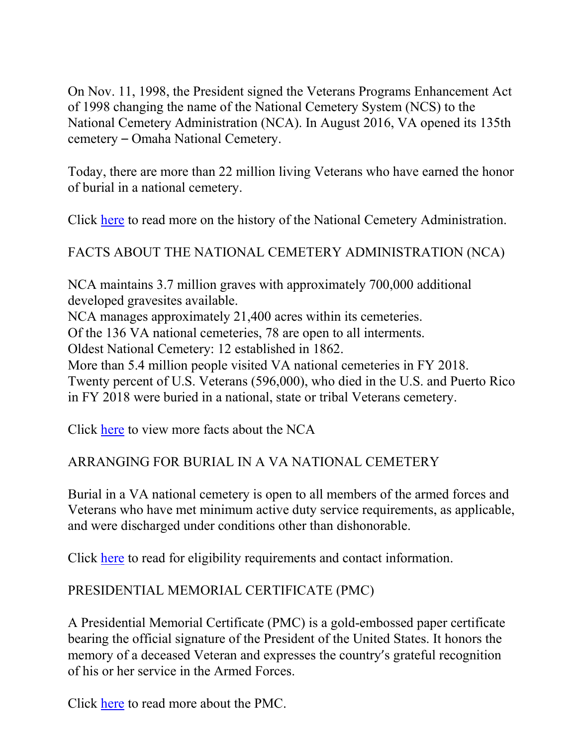On Nov. 11, 1998, the President signed the Veterans Programs Enhancement Act of 1998 changing the name of the National Cemetery System (NCS) to the National Cemetery Administration (NCA). In August 2016, VA opened its 135th cemetery – Omaha National Cemetery.

Today, there are more than 22 million living Veterans who have earned the honor of burial in a national cemetery.

Click [here](https://www.unomaha.edu/college-of-public-affairs-and-community-service/gerontology/_files/docs/cemetery-nca-history-fact-sheet-june-2019.pdf) to read more on the history of the National Cemetery Administration.

FACTS ABOUT THE NATIONAL CEMETERY ADMINISTRATION (NCA)

NCA maintains 3.7 million graves with approximately 700,000 additional developed gravesites available.

NCA manages approximately 21,400 acres within its cemeteries.

Of the 136 VA national cemeteries, 78 are open to all interments.

Oldest National Cemetery: 12 established in 1862.

More than 5.4 million people visited VA national cemeteries in FY 2018.

Twenty percent of U.S. Veterans (596,000), who died in the U.S. and Puerto Rico in FY 2018 were buried in a national, state or tribal Veterans cemetery.

Click [here](https://www.unomaha.edu/college-of-public-affairs-and-community-service/gerontology/_files/docs/cemetery-nca-stats-fact-sheet.pdf) to view more facts about the NCA

### ARRANGING FOR BURIAL IN A VA NATIONAL CEMETERY

Burial in a VA national cemetery is open to all members of the armed forces and Veterans who have met minimum active duty service requirements, as applicable, and were discharged under conditions other than dishonorable.

Click [here](https://www.unomaha.edu/college-of-public-affairs-and-community-service/gerontology/_files/docs/cemetery-arranging-burial.pdf) to read for eligibility requirements and contact information.

## PRESIDENTIAL MEMORIAL CERTIFICATE (PMC)

A Presidential Memorial Certificate (PMC) is a gold-embossed paper certificate bearing the official signature of the President of the United States. It honors the memory of a deceased Veteran and expresses the country's grateful recognition of his or her service in the Armed Forces.

Click [here](https://www.unomaha.edu/college-of-public-affairs-and-community-service/gerontology/_files/docs/cemetery-presidential-memorial-certificate.pdf) to read more about the PMC.